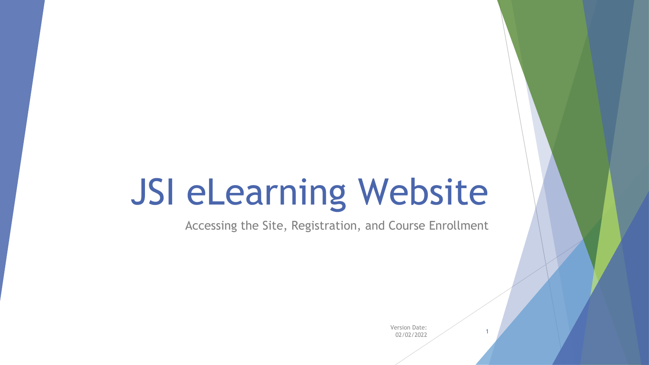# JSI eLearning Website

Accessing the Site, Registration, and Course Enrollment

Version Date: 02/02/2022 <sup>1</sup>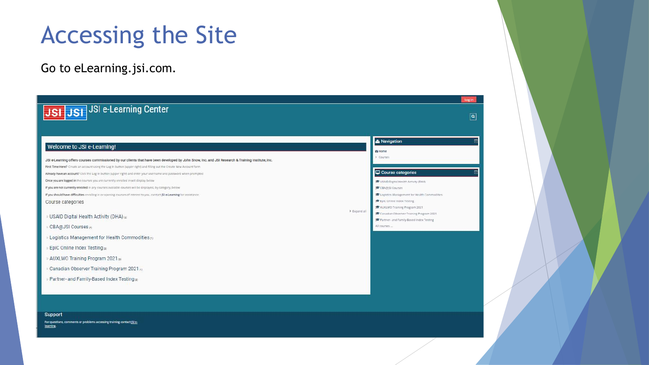# Accessing the Site

Go to eLearning.jsi.com.

| JSI JSI <sup>JSI</sup> <sup>JSI</sup> e-Learning Center                                                                                           |              | $\boxed{\mathsf{a}}$                                                               |
|---------------------------------------------------------------------------------------------------------------------------------------------------|--------------|------------------------------------------------------------------------------------|
|                                                                                                                                                   |              |                                                                                    |
|                                                                                                                                                   |              | <b>A</b> Navigation                                                                |
| Welcome to JSI e-Learning!                                                                                                                        |              | <b><i><u>Re Home</u></i></b>                                                       |
| JSI e-Learning offers courses commissioned by our clients that have been developed by John Snow, Inc. and JSI Research & Training Institute, Inc. |              | Courses                                                                            |
| First Time Here? Create an account using the Log In button (upper right) and filling out the Create New Account form                              |              |                                                                                    |
| Already have an account? Click the Log In button (upper right) and enter your username and password when prompted                                 |              | Course categories                                                                  |
| Once you are logged in the courses you are currently enrolled in will display below                                                               |              | <b>S</b> USAID Digital Health Activity (DHA)                                       |
| If you are not currently enrolled in any courses available caurses will be displayed, by category, below                                          |              | <b>CEARSI Courses</b>                                                              |
| If you should have difficulties enrolling in or opening courses of interest to you, contact JSI e-Learning for assistance.                        |              | <b>S</b> Logistics Management for Health Commodities                               |
| Course categories                                                                                                                                 |              | EpiC Online Index Testing                                                          |
|                                                                                                                                                   | F Expand all | T AUXLWO Training Program 2021                                                     |
| <b>DISAID Digital Health Activity (DHA)</b> (a)                                                                                                   |              | Canadian Observer Training Program 2021<br>Partner- and Family-Based Index Testing |
| CBA@JSI Courses                                                                                                                                   |              | All courses                                                                        |
| Logistics Management for Health Commodities of                                                                                                    |              |                                                                                    |
| EpiC Online Index Testing                                                                                                                         |              |                                                                                    |
| AUXLWO Training Program 2021 a                                                                                                                    |              |                                                                                    |
| Canadian Observer Training Program 2021 (t)                                                                                                       |              |                                                                                    |
| Partner- and Family-Based Index Testing                                                                                                           |              |                                                                                    |
|                                                                                                                                                   |              |                                                                                    |
|                                                                                                                                                   |              |                                                                                    |
| Support                                                                                                                                           |              |                                                                                    |

For questions, comments or problems accessing training contact [SI elearning.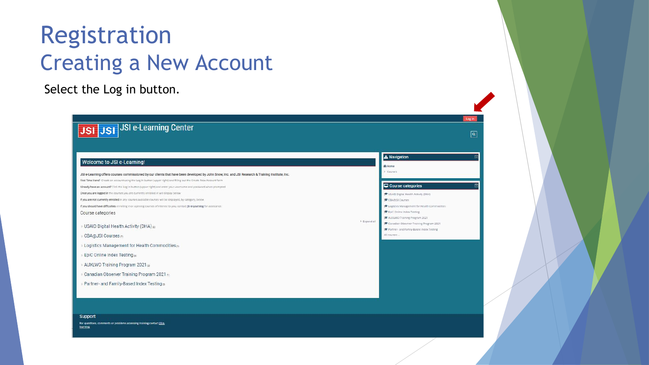#### Registration Creating a New Account

Select the Log in button.

| JSI JSI JSI e-Learning Center                                                                                                                     |                                                                                   |
|---------------------------------------------------------------------------------------------------------------------------------------------------|-----------------------------------------------------------------------------------|
|                                                                                                                                                   |                                                                                   |
|                                                                                                                                                   |                                                                                   |
|                                                                                                                                                   | <b>A</b> Navigation                                                               |
| Welcome to JSI e-Learning!                                                                                                                        |                                                                                   |
|                                                                                                                                                   | <b><i><u>Ge</u></i></b> Home                                                      |
| JSI e-Learning offers courses commissioned by our clients that have been developed by John Snow, Inc. and JSI Research & Training Institute, Inc. | Courses                                                                           |
| First Time Here? Create an account using the Log In button (upper right) and filling out the Create New Account form                              |                                                                                   |
| Already have an account? Click the Log In button (upper right) and enter your username and password when prompted                                 | Course categories                                                                 |
| Once you are logged in the courses you are currently enrolled in will display below                                                               | S USAID Digital Health Activity (DHA)                                             |
| If you are not currently enrolled in any courses available courses will be displayed, by category, below                                          | <b>CEADISI Courses</b>                                                            |
| If you should have difficulties enrolling in or opening courses of interest to you, contact [SI e-Learning for assistance.                        | <b>S</b> Logistics Management for Health Commodities<br>EpiC Online Index Testing |
| Course categories                                                                                                                                 | AUXLWO Training Program 2021                                                      |
|                                                                                                                                                   | F Expand all<br>Canadian Observer Training Program 2021                           |
| <b>USAID Digital Health Activity (DHA)</b> (a)                                                                                                    | Partner- and Family Based Index Testing                                           |
| ⊪ CBA@JSI Courses (7)                                                                                                                             | All courses                                                                       |
| <b>Logistics Management for Health Commodities</b> of                                                                                             |                                                                                   |
| <b>EpiC Online Index Testing</b>                                                                                                                  |                                                                                   |
| > AUXLWO Training Program 2021 a)                                                                                                                 |                                                                                   |
| Canadian Observer Training Program 2021 <sub>0</sub>                                                                                              |                                                                                   |
| Partner- and Family-Based Index Testing                                                                                                           |                                                                                   |
|                                                                                                                                                   |                                                                                   |
|                                                                                                                                                   |                                                                                   |

 $\boxed{\mathbf{a}}$ 

Support

For questions, comments or problems accessing training contact [SI e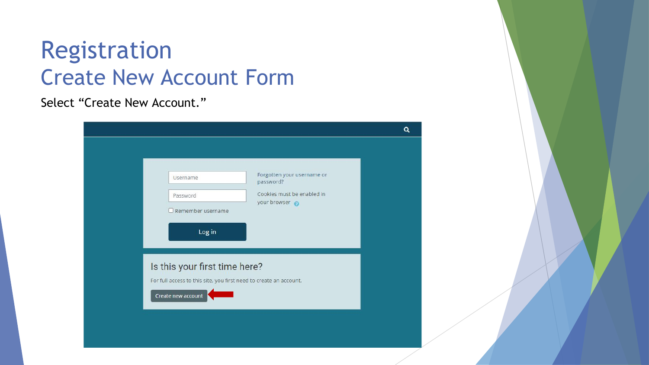#### Registration Create New Account Form

#### Select "Create New Account."

| Forgotten your username or<br>Username<br>password?<br>Cookies must be enabled in<br>Password<br>your browser<br>Remember username<br>Log in<br>Is this your first time here? |  | Q |
|-------------------------------------------------------------------------------------------------------------------------------------------------------------------------------|--|---|
|                                                                                                                                                                               |  |   |
| For full access to this site, you first need to create an account.<br>Create new account                                                                                      |  |   |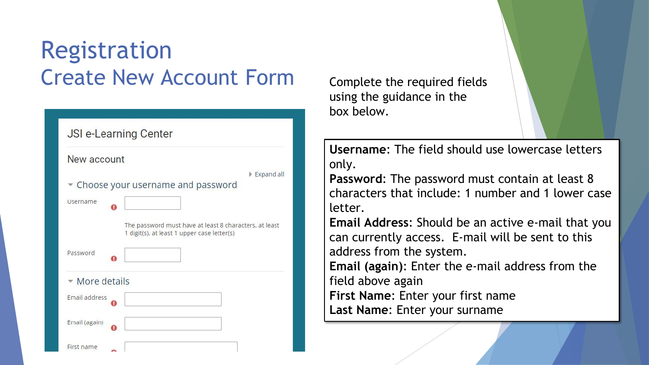### Registration Create New Account Form

| <b>JSI e-Learning Center</b>                           |            |
|--------------------------------------------------------|------------|
| New account                                            |            |
|                                                        | Expand all |
| Choose your username and password                      |            |
|                                                        |            |
| Username                                               |            |
|                                                        |            |
| The password must have at least 8 characters, at least |            |
| 1 digit(s), at least 1 upper case letter(s)            |            |
| Password                                               |            |
|                                                        |            |
| More details                                           |            |
|                                                        |            |
| Email address                                          |            |
|                                                        |            |
| Email (again)                                          |            |
|                                                        |            |
| First name<br>ጫ                                        |            |

Complete the required fields using the guidance in the box below.

**Username**: The field should use lowercase letters only.

**Password**: The password must contain at least 8 characters that include: 1 number and 1 lower case letter.

**Email Address**: Should be an active e-mail that you can currently access. E-mail will be sent to this address from the system.

**Email (again)**: Enter the e-mail address from the field above again **First Name**: Enter your first name

**Last Name**: Enter your surname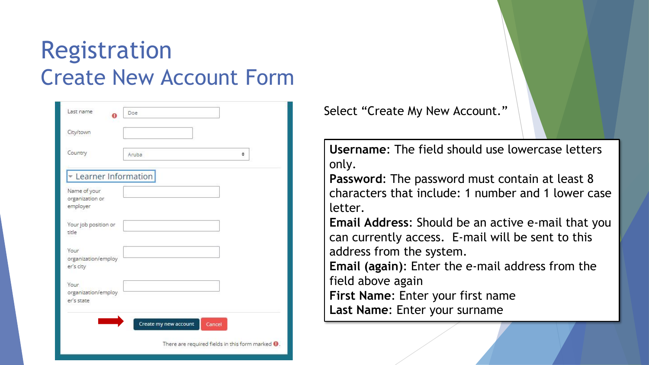### Registration Create New Account Form

| Last name<br>Ω                              | Doe                   |        |
|---------------------------------------------|-----------------------|--------|
| City/town                                   |                       |        |
| Country                                     | Aruba                 | ٠      |
| <b>Example 1</b> Learner Information        |                       |        |
| Name of your<br>organization or<br>employer |                       |        |
| Your job position or<br>title               |                       |        |
| Your<br>organization/employ<br>er's city    |                       |        |
| Your<br>organization/employ<br>er's state   |                       |        |
|                                             | Create my new account | Cancel |

Select "Create My New Account."

**Username**: The field should use lowercase letters only.

**Password**: The password must contain at least 8 characters that include: 1 number and 1 lower case letter.

**Email Address**: Should be an active e-mail that you can currently access. E-mail will be sent to this address from the system.

**Email (again)**: Enter the e-mail address from the field above again

**First Name**: Enter your first name **Last Name**: Enter your surname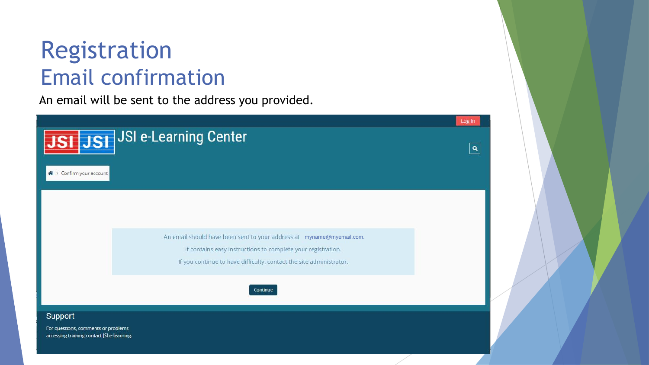#### Registration Email confirmation

accessing training contact JSI e-learning.

An email will be sent to the address you provided.

Log in JSI JST JSI e-Learning Center  $\overline{|\mathtt{a}|}$ « > Confirm your account An email should have been sent to your address at myname@myemail.com. It contains easy instructions to complete your registration. If you continue to have difficulty, contact the site administrator. Continue Support For questions, comments or problems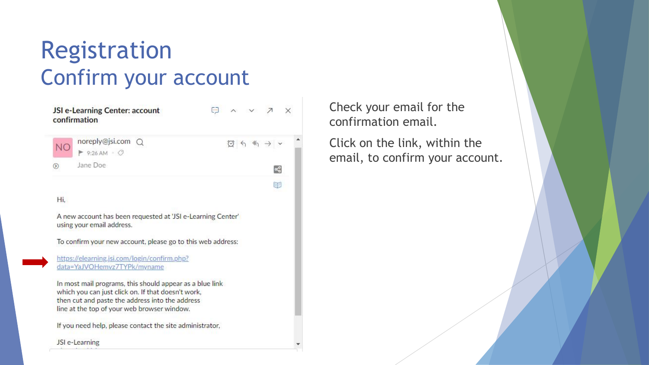#### Registration Confirm your account

|           | JSI e-Learning Center: account<br>confirmation                                           | 日 ヘ v ス X |                                                                                                                                                          |    |  |
|-----------|------------------------------------------------------------------------------------------|-----------|----------------------------------------------------------------------------------------------------------------------------------------------------------|----|--|
| <b>NO</b> | noreply@jsi.com Q<br>$\blacktriangleright$ 9:26 AM $\cdot$ 0                             |           | $\textcircled{a} \ \textup{\textcircled{4}} \ \textup{\textcircled{4}} \ \textup{\textcircled{4}} \ \textup{\textcircled{7}} \ \textup{\textcircled{7}}$ |    |  |
| ၈         | Jane Doe                                                                                 |           |                                                                                                                                                          | æ, |  |
|           |                                                                                          |           |                                                                                                                                                          | 丽  |  |
| Hi,       |                                                                                          |           |                                                                                                                                                          |    |  |
|           | A new account has been requested at 'JSI e-Learning Center'<br>using your email address. |           |                                                                                                                                                          |    |  |
|           | To confirm your new account, please go to this web address:                              |           |                                                                                                                                                          |    |  |

https://elearning.jsi.com/login/confirm.php? data=YaJVOHemvz7TYPk/myname

In most mail programs, this should appear as a blue link which you can just click on. If that doesn't work, then cut and paste the address into the address line at the top of your web browser window.

If you need help, please contact the site administrator,

JSI e-Learning

Check your email for the confirmation email.

Click on the link, within the email, to confirm your account.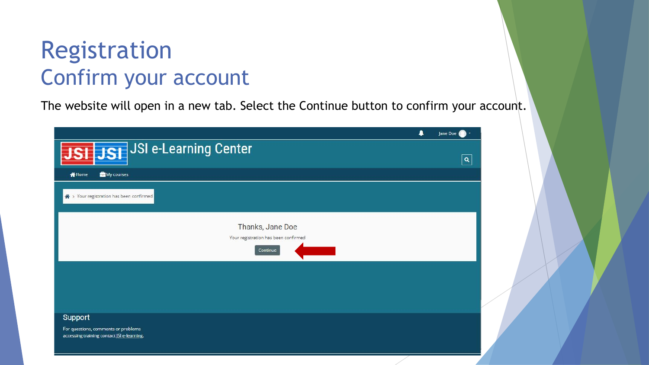#### Registration Confirm your account

The website will open in a new tab. Select the Continue button to confirm your account.

|                                                                                   | 4<br>Jane Doe |
|-----------------------------------------------------------------------------------|---------------|
| JSI JSI JSI e-Learning Center                                                     | $\mathbf{Q}$  |
| My courses<br><b>N</b> Home                                                       |               |
| ◈ > Your registration has been confirmed                                          |               |
| Thanks, Jane Doe                                                                  |               |
| Your registration has been confirmed<br>Continue                                  |               |
|                                                                                   |               |
|                                                                                   |               |
|                                                                                   |               |
| Support                                                                           |               |
| For questions, comments or problems<br>accessing training contact JSI e-learning. |               |
|                                                                                   |               |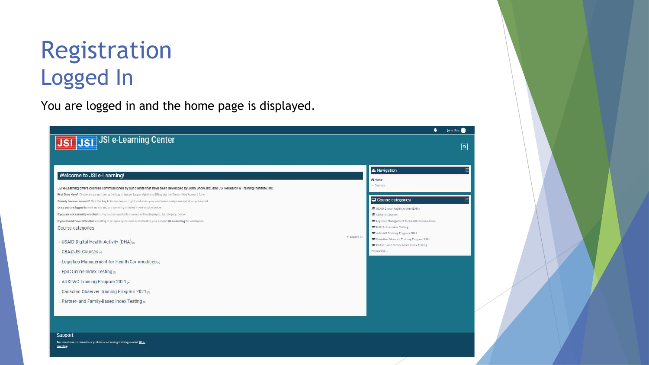### Registration Logged In

You are logged in and the home page is displayed.

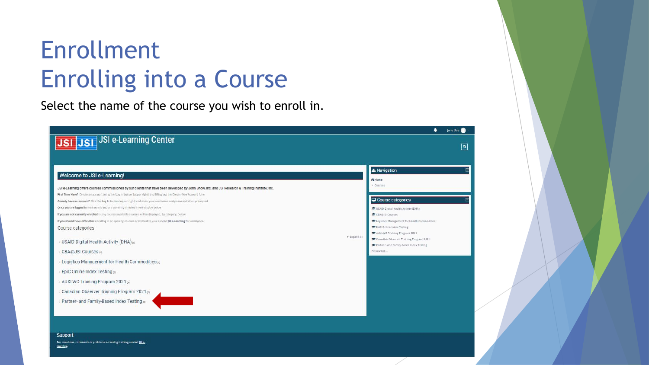Select the name of the course you wish to enroll in.

|                                                                                                                                                   | <b>A</b> Navigation      |                                                                    |
|---------------------------------------------------------------------------------------------------------------------------------------------------|--------------------------|--------------------------------------------------------------------|
| Welcome to JSI e-Learning!                                                                                                                        | <b>et</b> Home           |                                                                    |
| JSI e-Learning offers courses commissioned by our clients that have been developed by John Snow, Inc. and JSI Research & Training Institute, Inc. | Courses                  |                                                                    |
| First Time Here? Create an account using the Log In button (upper right) and filling out the Create New Account form                              |                          |                                                                    |
| Already have an account? Click the Log In button Jupper right) and enter your username and password when prompted                                 |                          | Course categories                                                  |
| Once you are logged in the courses you are currently enrolled in will display below                                                               |                          | <sup>■</sup> USAID Digital Health Activity (DHA)                   |
| If you are not currently enrolled in any courses available courses will be displayed, by category, below                                          | <b>E CBABISI Courses</b> |                                                                    |
| If you should have difficulties enrolling in or opening courses of interest to you, contact JSI e-Learning for assistance.                        |                          | Logistics Management for Health Commodities                        |
| Course categories                                                                                                                                 |                          | <b>F</b> EpiC Online Index Testing<br>AUXLWO Training Program 2021 |
|                                                                                                                                                   | F Expand all             | Canadian Observer Training Program 2021                            |
| <b>DISAID Digital Health Activity (DHA)</b>                                                                                                       |                          | Farther- and Family-Based Index Testing                            |
| CBA@JSI Courses                                                                                                                                   | All courses              |                                                                    |
| Logistics Management for Health Commodities of                                                                                                    |                          |                                                                    |
| <b>EpiC Online Index Testing</b>                                                                                                                  |                          |                                                                    |
| AUXLWO Training Program 2021 a                                                                                                                    |                          |                                                                    |
| Canadian Observer Training Program 2021 (t)                                                                                                       |                          |                                                                    |
| Partner- and Family-Based Index Testing                                                                                                           |                          |                                                                    |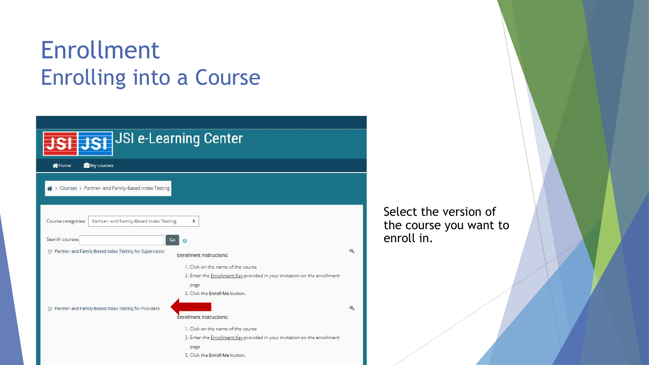| JST JSI e-Learning Center                                                                  |   |
|--------------------------------------------------------------------------------------------|---|
| My courses<br><b>N</b> Home                                                                |   |
| → Courses > Partner- and Family-Based Index Testing                                        |   |
| Partner- and Family-Based Index Testing<br>Course categories:<br>٠                         |   |
| Search courses<br>Go                                                                       |   |
| Partner- and Family-Based Index Testing for Supervisors<br><b>Enrollment Instructions:</b> | Q |
| 1. Click on the name of the course                                                         |   |
| 2. Enter the Enrollment Key provided in your invitation on the enrollment                  |   |
| page                                                                                       |   |
| 3. Click the Enroll Me button.                                                             |   |
| De Partner- and Family-Based Index Testing for Providers                                   | a |
| <b>Enrollment Instructions:</b>                                                            |   |
| 1. Click on the name of the course                                                         |   |
| 2. Enter the Enrollment Key provided in your invitation on the enrollment                  |   |
| page                                                                                       |   |
| 3. Click the Enroll Me button.                                                             |   |

Select the version of the course you want to enroll in.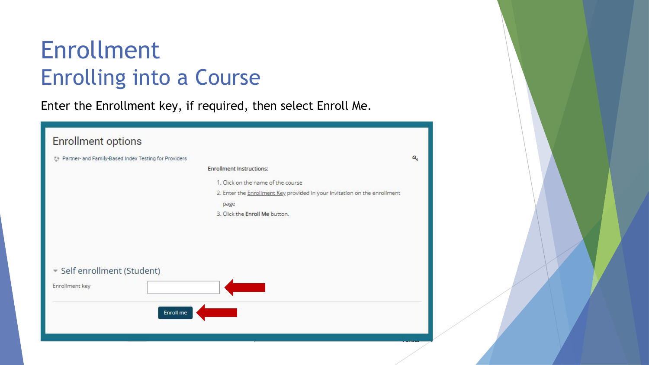Enter the Enrollment key, if required, then select Enroll Me.

| <b>Enrollment options</b>                                   |                                                                           |   |
|-------------------------------------------------------------|---------------------------------------------------------------------------|---|
| Partner- and Family-Based Index Testing for Providers<br>U. |                                                                           | a |
|                                                             | <b>Enrollment Instructions:</b>                                           |   |
|                                                             |                                                                           |   |
|                                                             | 1. Click on the name of the course                                        |   |
|                                                             | 2. Enter the Enrollment Key provided in your invitation on the enrollment |   |
|                                                             | page                                                                      |   |
|                                                             | 3. Click the Enroll Me button.                                            |   |
|                                                             |                                                                           |   |
|                                                             |                                                                           |   |
|                                                             |                                                                           |   |
|                                                             |                                                                           |   |
|                                                             |                                                                           |   |
| Gelf enrollment (Student)                                   |                                                                           |   |
|                                                             |                                                                           |   |
| Enrollment key                                              |                                                                           |   |
|                                                             |                                                                           |   |
| Enroll me                                                   |                                                                           |   |
|                                                             |                                                                           |   |
|                                                             |                                                                           |   |
|                                                             |                                                                           |   |